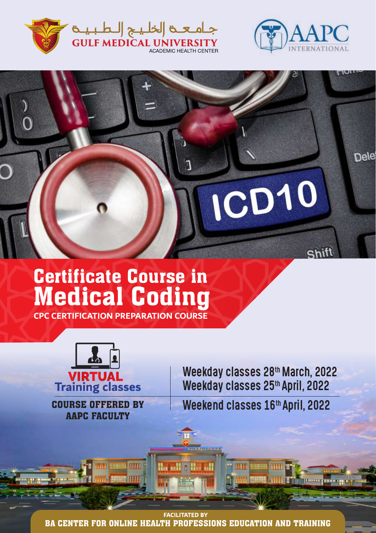



Shift

Dele

# Certificate Course in Medical Coding

**CPC CERTIFICATION PREPARATION COURSE**



COURSE OFFERED BY AAPC FACULTY

Weekday classes 28th March, 2022 Weekday classes 25th April, 2022

ICD10

Weekend classes 16th April, 2022

**FACILITATED BY** BA CENTER FOR ONLINE HEALTH PROFESSIONS EDUCATION AND TRAINING

Ha sall I Heal and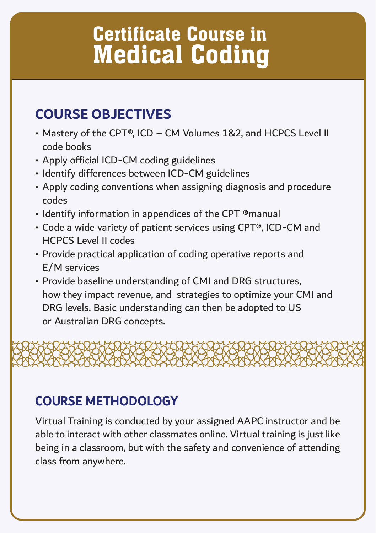# Certificate Course in Medical Coding

### **COURSE OBJECTIVES**

- Mastery of the CPT®, ICD CM Volumes 1&2, and HCPCS Level II code books
- Apply official ICD-CM coding guidelines
- Identify differences between ICD-CM guidelines
- Apply coding conventions when assigning diagnosis and procedure codes
- Identify information in appendices of the CPT ®manual
- Code a wide variety of patient services using CPT®, ICD-CM and HCPCS Level II codes
- Provide practical application of coding operative reports and E/M services
- Provide baseline understanding of CMI and DRG structures, how they impact revenue, and strategies to optimize your CMI and DRG levels. Basic understanding can then be adopted to US or Australian DRG concepts.



### **COURSE METHODOLOGY**

Virtual Training is conducted by your assigned AAPC instructor and be able to interact with other classmates online. Virtual training is just like being in a classroom, but with the safety and convenience of attending class from anywhere.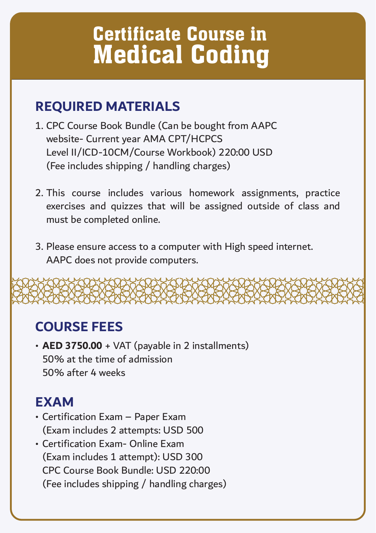# Certificate Course in Medical Coding

#### **REQUIRED MATERIALS**

- 1. CPC Course Book Bundle (Can be bought from AAPC website- Current year AMA CPT/HCPCS Level II/ICD-10CM/Course Workbook) 220:00 USD (Fee includes shipping / handling charges)
- 2. This course includes various homework assignments, practice exercises and quizzes that will be assigned outside of class and must be completed online.
- 3. Please ensure access to a computer with High speed internet. AAPC does not provide computers.

### **COURSE FEES**

• **AED 3750.00** + VAT (payable in 2 installments) 50% at the time of admission 50% after 4 weeks

#### **EXAM**

- Certification Exam Paper Exam (Exam includes 2 attempts: USD 500
- Certification Exam- Online Exam (Exam includes 1 attempt): USD 300 CPC Course Book Bundle: USD 220:00 (Fee includes shipping / handling charges)